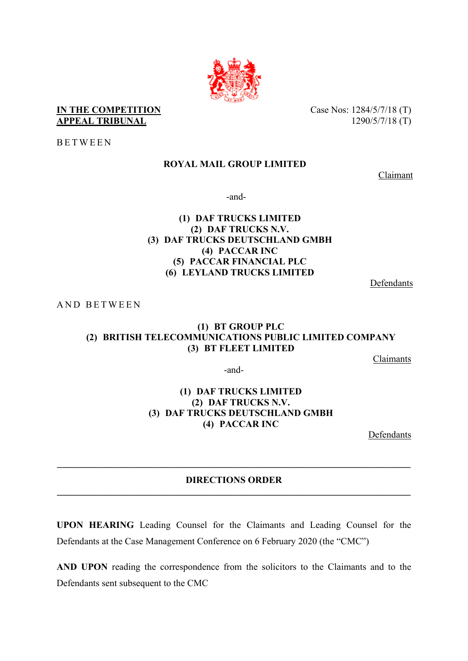

## **IN THE COMPETITION** Case Nos: 1284/5/7/18 (T) **APPEAL TRIBUNAL** 1290/5/7/18 (T)

BETWEEN

# **ROYAL MAIL GROUP LIMITED**

Claimant

-and-

# **(1) DAF TRUCKS LIMITED (2) DAF TRUCKS N.V. (3) DAF TRUCKS DEUTSCHLAND GMBH (4) PACCAR INC (5) PACCAR FINANCIAL PLC (6) LEYLAND TRUCKS LIMITED**

Defendants

AND BETWEEN

# **(1) BT GROUP PLC (2) BRITISH TELECOMMUNICATIONS PUBLIC LIMITED COMPANY (3) BT FLEET LIMITED**

Claimants

-and-

## **(1) DAF TRUCKS LIMITED (2) DAF TRUCKS N.V. (3) DAF TRUCKS DEUTSCHLAND GMBH (4) PACCAR INC**

Defendants

# **DIRECTIONS ORDER \_\_\_\_\_\_\_\_\_\_\_\_\_\_\_\_\_\_\_\_\_\_\_\_\_\_\_\_\_\_\_\_\_\_\_\_\_\_\_\_\_\_\_\_\_\_\_\_\_\_\_\_\_\_\_\_\_\_\_\_\_\_\_\_\_\_\_\_\_\_\_\_\_\_\_**

**\_\_\_\_\_\_\_\_\_\_\_\_\_\_\_\_\_\_\_\_\_\_\_\_\_\_\_\_\_\_\_\_\_\_\_\_\_\_\_\_\_\_\_\_\_\_\_\_\_\_\_\_\_\_\_\_\_\_\_\_\_\_\_\_\_\_\_\_\_\_\_\_\_\_\_**

**UPON HEARING** Leading Counsel for the Claimants and Leading Counsel for the Defendants at the Case Management Conference on 6 February 2020 (the "CMC")

**AND UPON** reading the correspondence from the solicitors to the Claimants and to the Defendants sent subsequent to the CMC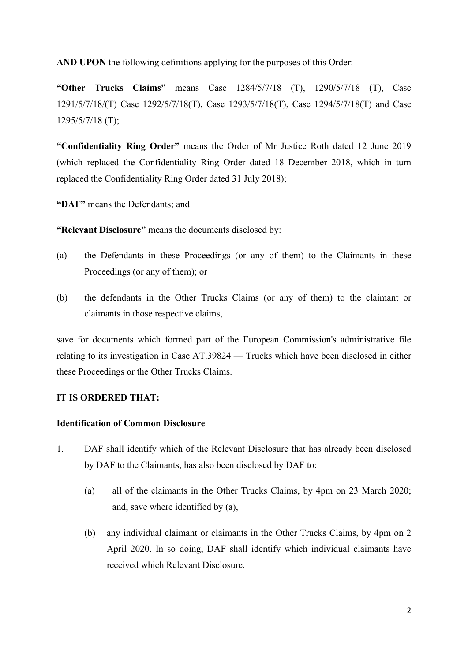**AND UPON** the following definitions applying for the purposes of this Order:

**"Other Trucks Claims"** means Case 1284/5/7/18 (T), 1290/5/7/18 (T), Case 1291/5/7/18/(T) Case 1292/5/7/18(T), Case 1293/5/7/18(T), Case 1294/5/7/18(T) and Case 1295/5/7/18 (T);

**"Confidentiality Ring Order"** means the Order of Mr Justice Roth dated 12 June 2019 (which replaced the Confidentiality Ring Order dated 18 December 2018, which in turn replaced the Confidentiality Ring Order dated 31 July 2018);

**"DAF"** means the Defendants; and

**"Relevant Disclosure"** means the documents disclosed by:

- (a) the Defendants in these Proceedings (or any of them) to the Claimants in these Proceedings (or any of them); or
- (b) the defendants in the Other Trucks Claims (or any of them) to the claimant or claimants in those respective claims,

save for documents which formed part of the European Commission's administrative file relating to its investigation in Case AT.39824 — Trucks which have been disclosed in either these Proceedings or the Other Trucks Claims.

#### **IT IS ORDERED THAT:**

#### **Identification of Common Disclosure**

- 1. DAF shall identify which of the Relevant Disclosure that has already been disclosed by DAF to the Claimants, has also been disclosed by DAF to:
	- (a) all of the claimants in the Other Trucks Claims, by 4pm on 23 March 2020; and, save where identified by (a),
	- (b) any individual claimant or claimants in the Other Trucks Claims, by 4pm on 2 April 2020. In so doing, DAF shall identify which individual claimants have received which Relevant Disclosure.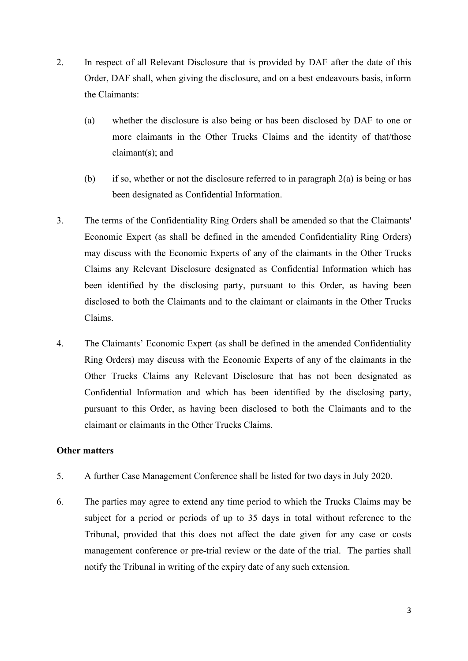- 2. In respect of all Relevant Disclosure that is provided by DAF after the date of this Order, DAF shall, when giving the disclosure, and on a best endeavours basis, inform the Claimants:
	- (a) whether the disclosure is also being or has been disclosed by DAF to one or more claimants in the Other Trucks Claims and the identity of that/those claimant(s); and
	- (b) if so, whether or not the disclosure referred to in paragraph  $2(a)$  is being or has been designated as Confidential Information.
- 3. The terms of the Confidentiality Ring Orders shall be amended so that the Claimants' Economic Expert (as shall be defined in the amended Confidentiality Ring Orders) may discuss with the Economic Experts of any of the claimants in the Other Trucks Claims any Relevant Disclosure designated as Confidential Information which has been identified by the disclosing party, pursuant to this Order, as having been disclosed to both the Claimants and to the claimant or claimants in the Other Trucks Claims.
- 4. The Claimants' Economic Expert (as shall be defined in the amended Confidentiality Ring Orders) may discuss with the Economic Experts of any of the claimants in the Other Trucks Claims any Relevant Disclosure that has not been designated as Confidential Information and which has been identified by the disclosing party, pursuant to this Order, as having been disclosed to both the Claimants and to the claimant or claimants in the Other Trucks Claims.

#### **Other matters**

- 5. A further Case Management Conference shall be listed for two days in July 2020.
- 6. The parties may agree to extend any time period to which the Trucks Claims may be subject for a period or periods of up to 35 days in total without reference to the Tribunal, provided that this does not affect the date given for any case or costs management conference or pre-trial review or the date of the trial. The parties shall notify the Tribunal in writing of the expiry date of any such extension.